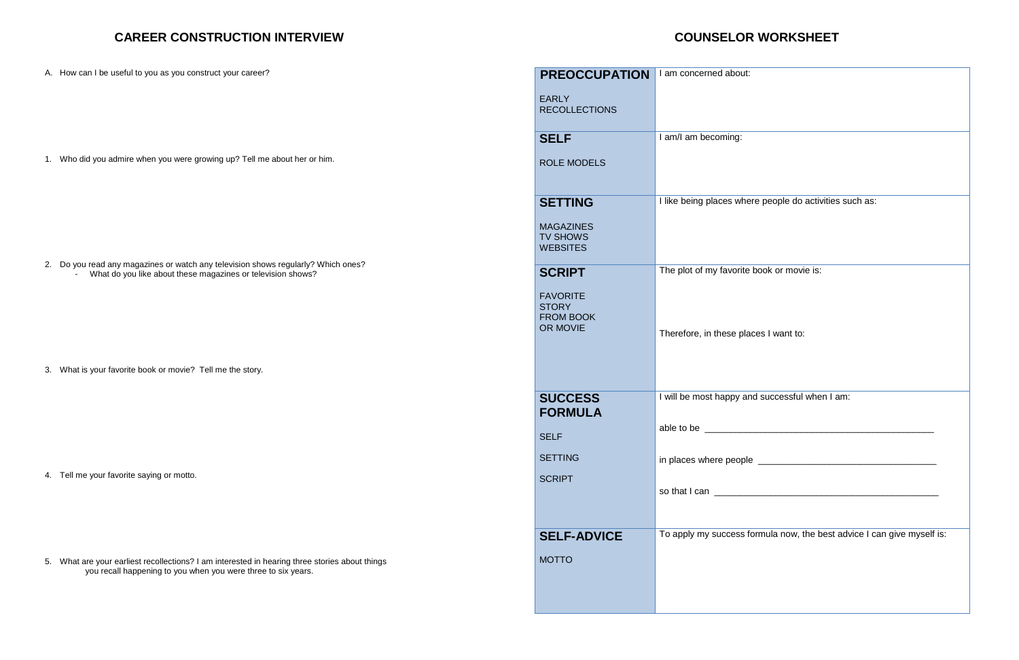#### **CAREER CONSTRUCTION INTERVIEW**

### **COUNSELOR WORKSHEET**

| A. How can I be useful to you as you construct your career?                                                                                                     | <b>PREOCCUPATION</b>                                            | I am concerned about:                             |
|-----------------------------------------------------------------------------------------------------------------------------------------------------------------|-----------------------------------------------------------------|---------------------------------------------------|
|                                                                                                                                                                 | <b>EARLY</b><br><b>RECOLLECTIONS</b>                            |                                                   |
|                                                                                                                                                                 | <b>SELF</b>                                                     | I am/I am becoming:                               |
| 1. Who did you admire when you were growing up? Tell me about her or him.                                                                                       | <b>ROLE MODELS</b>                                              |                                                   |
|                                                                                                                                                                 | <b>SETTING</b>                                                  | I like being places where people do activities su |
|                                                                                                                                                                 | <b>MAGAZINES</b><br><b>TV SHOWS</b><br><b>WEBSITES</b>          |                                                   |
| 2. Do you read any magazines or watch any television shows regularly? Which ones?<br>What do you like about these magazines or television shows?                | <b>SCRIPT</b>                                                   | The plot of my favorite book or movie is:         |
|                                                                                                                                                                 | <b>FAVORITE</b><br><b>STORY</b><br><b>FROM BOOK</b><br>OR MOVIE | Therefore, in these places I want to:             |
| 3. What is your favorite book or movie? Tell me the story.                                                                                                      |                                                                 |                                                   |
|                                                                                                                                                                 | <b>SUCCESS</b><br><b>FORMULA</b>                                | I will be most happy and successful when I am:    |
|                                                                                                                                                                 | <b>SELF</b>                                                     | able to be <u>expression</u>                      |
|                                                                                                                                                                 | <b>SETTING</b>                                                  |                                                   |
| 4. Tell me your favorite saying or motto.                                                                                                                       | <b>SCRIPT</b>                                                   |                                                   |
|                                                                                                                                                                 |                                                                 |                                                   |
|                                                                                                                                                                 |                                                                 |                                                   |
|                                                                                                                                                                 | <b>SELF-ADVICE</b>                                              | To apply my success formula now, the best adv     |
| 5. What are your earliest recollections? I am interested in hearing three stories about things<br>you recall happening to you when you were three to six years. | <b>MOTTO</b>                                                    |                                                   |
|                                                                                                                                                                 |                                                                 |                                                   |

| I am concerned about:                                                  |
|------------------------------------------------------------------------|
| I am/I am becoming:                                                    |
| I like being places where people do activities such as:                |
| The plot of my favorite book or movie is:                              |
| Therefore, in these places I want to:                                  |
| I will be most happy and successful when I am:                         |
| able to be ________                                                    |
| in places where people <u>___________________________________</u>      |
|                                                                        |
| To apply my success formula now, the best advice I can give myself is: |